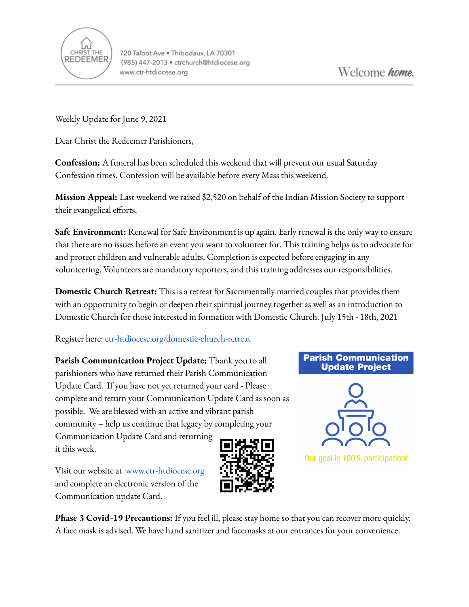

Weekly Update for June 9, 2021

Dear Christ the Redeemer Parishioners,

**Confession:** A funeral has been scheduled this weekend that will prevent our usual Saturday Confession times. Confession will be available before every Mass this weekend.

**Mission Appeal:** Last weekend we raised \$2,520 on behalf of the Indian Mission Society to support their evangelical efforts.

**Safe Environment:** Renewal for Safe Environment is up again. Early renewal is the only way to ensure that there are no issues before an event you want to volunteer for. This training helps us to advocate for and protect children and vulnerable adults. Completion is expected before engaging in any volunteering. Volunteers are mandatory reporters, and this training addresses our responsibilities.

**Domestic Church Retreat:** This is a retreat for Sacramentally married couples that provides them with an opportunity to begin or deepen their spiritual journey together as well as an introduction to Domestic Church for those interested in formation with Domestic Church. July 15th - 18th, 2021

Register here: [ctr-htdiocese.org/domestic-church-retreat](https://www.ctr-htdiocese.org/domestic-church-retreat)

**Parish Communication Project Update:** Thank you to all parishioners who have returned their Parish Communication Update Card. If you have not yet returned your card - Please complete and return your Communication Update Card as soon as possible. We are blessed with an active and vibrant parish community – help us continue that legacy by completing your Communication Update Card and returning

## **Parish Communication Update Project**



Our goal is 100% participation!

Visit our website a[t](http://mail.htdiocese.org/Redirect/E9F0546F/www.church.org) [www.ctr-htdiocese.org](http://www.ctr-htdiocese.org) and complete an electronic version of the Communication update Card.

it this week.

**Phase 3 Covid-19 Precautions:** If you feel ill, please stay home so that you can recover more quickly. A face mask is advised. We have hand sanitizer and facemasks at our entrances for your convenience.